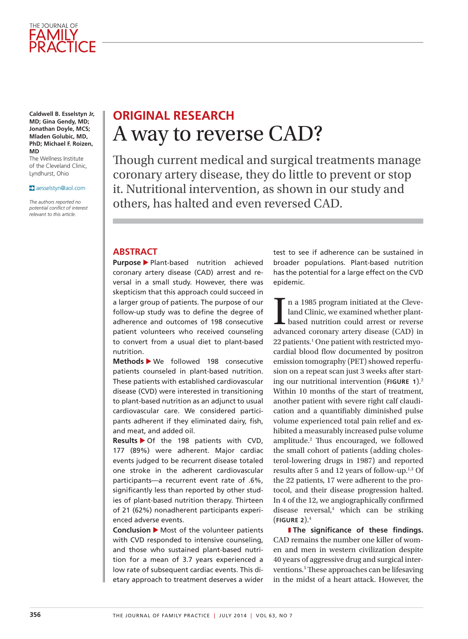

**Caldwell B. Esselstyn Jr, MD; Gina Gendy, MD; Jonathan Doyle, MCS; Mladen Golubic, MD, PhD; Michael F. Roizen, MD**

The Wellness Institute of the Cleveland Clinic, Lyndhurst, Ohio

#### aesselstyn@aol.com

*The authors reported no potential confict of interest relevant to this article.*

# **ORIGINAL RESEARCH**  A way to reverse CAD?

Though current medical and surgical treatments manage coronary artery disease, they do little to prevent or stop it. Nutritional intervention, as shown in our study and others, has halted and even reversed CAD.

### **ABSTRACT**

**Purpose** Plant-based nutrition achieved coronary artery disease (CAD) arrest and reversal in a small study. However, there was skepticism that this approach could succeed in a larger group of patients. The purpose of our follow-up study was to define the degree of adherence and outcomes of 198 consecutive patient volunteers who received counseling to convert from a usual diet to plant-based nutrition.

Methods > We followed 198 consecutive patients counseled in plant-based nutrition. These patients with established cardiovascular disease (CVD) were interested in transitioning to plant-based nutrition as an adjunct to usual cardiovascular care. We considered participants adherent if they eliminated dairy, fish, and meat, and added oil.

**Results** > Of the 198 patients with CVD, 177 (89%) were adherent. Major cardiac events judged to be recurrent disease totaled one stroke in the adherent cardiovascular participants—a recurrent event rate of .6%, significantly less than reported by other studies of plant-based nutrition therapy. Thirteen of 21 (62%) nonadherent participants experienced adverse events.

**Conclusion** Most of the volunteer patients with CVD responded to intensive counseling, and those who sustained plant-based nutrition for a mean of 3.7 years experienced a low rate of subsequent cardiac events. This dietary approach to treatment deserves a wider

test to see if adherence can be sustained in broader populations. Plant-based nutrition has the potential for a large effect on the CVD epidemic.

In a 1985 program initiated at the Cleveland Clinic, we examined whether plant-<br>based nutrition could arrest or reverse<br>advanced coronary artery disease (CAD) in n a 1985 program initiated at the Cleveland Clinic, we examined whether plantbased nutrition could arrest or reverse 22 patients.<sup>1</sup> One patient with restricted myocardial blood flow documented by positron emission tomography (PET) showed reperfusion on a repeat scan just 3 weeks after starting our nutritional intervention (**FIGURE 1**).2 Within 10 months of the start of treatment, another patient with severe right calf claudication and a quantifably diminished pulse volume experienced total pain relief and exhibited a measurably increased pulse volume amplitude.<sup>2</sup> Thus encouraged, we followed the small cohort of patients (adding cholesterol-lowering drugs in 1987) and reported results after 5 and 12 years of follow-up.1,3 Of the 22 patients, 17 were adherent to the protocol, and their disease progression halted. In 4 of the 12, we angiographically confrmed disease reversal,<sup>4</sup> which can be striking (**FIGURE 2**).4

] **The signifcance of these fndings.** CAD remains the number one killer of women and men in western civilization despite 40 years of aggressive drug and surgical interventions.<sup>5</sup> These approaches can be lifesaving in the midst of a heart attack. However, the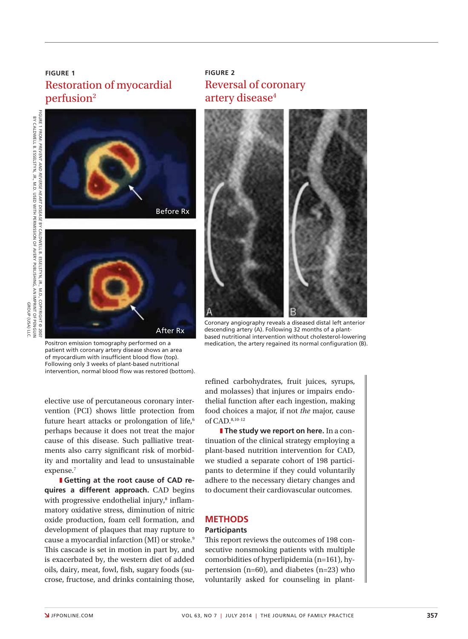## **FIGURE 1** Restoration of myocardial perfusion<sup>2</sup>



**FIGURE 2** Reversal of coronary artery disease<sup>4</sup>



Coronary angiography reveals a diseased distal left anterior descending artery (A). Following 32 months of a plantbased nutritional intervention without cholesterol-lowering medication, the artery regained its normal configuration (B).

Positron emission tomography performed on a patient with coronary artery disease shows an area of myocardium with insufficient blood flow (top). Following only 3 weeks of plant-based nutritional intervention, normal blood flow was restored (bottom).

elective use of percutaneous coronary intervention (PCI) shows little protection from future heart attacks or prolongation of life,<sup>6</sup> perhaps because it does not treat the major cause of this disease. Such palliative treatments also carry significant risk of morbidity and mortality and lead to unsustainable expense.7

**I** Getting at the root cause of CAD re**quires a different approach.** CAD begins with progressive endothelial injury,<sup>8</sup> inflammatory oxidative stress, diminution of nitric oxide production, foam cell formation, and development of plaques that may rupture to cause a myocardial infarction (MI) or stroke.9 This cascade is set in motion in part by, and is exacerbated by, the western diet of added oils, dairy, meat, fowl, fsh, sugary foods (sucrose, fructose, and drinks containing those,

refned carbohydrates, fruit juices, syrups, and molasses) that injures or impairs endothelial function after each ingestion, making food choices a major, if not *the* major, cause of CAD.8,10-12

**I** The study we report on here. In a continuation of the clinical strategy employing a plant-based nutrition intervention for CAD, we studied a separate cohort of 198 participants to determine if they could voluntarily adhere to the necessary dietary changes and to document their cardiovascular outcomes.

### **METHODS**

### **Participants**

This report reviews the outcomes of 198 consecutive nonsmoking patients with multiple comorbidities of hyperlipidemia (n=161), hypertension (n=60), and diabetes (n=23) who voluntarily asked for counseling in plant-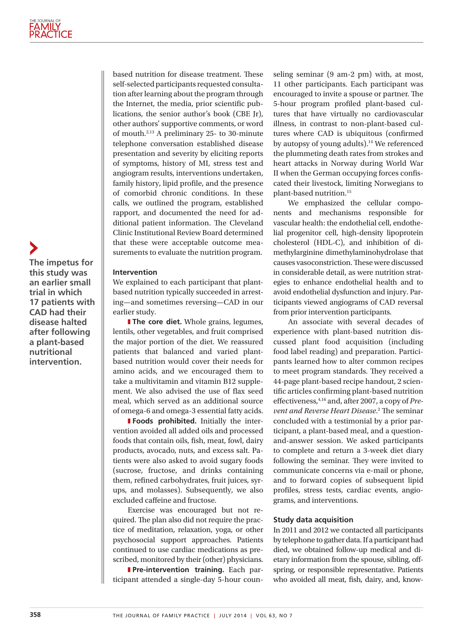**The impetus for this study was an earlier small trial in which 17 patients with CAD had their disease halted after following a plant-based nutritional intervention.**

based nutrition for disease treatment. These self-selected participants requested consultation after learning about the program through the Internet, the media, prior scientific publications, the senior author's book (CBE Jr), other authors' supportive comments, or word of mouth.2,13 A preliminary 25- to 30-minute telephone conversation established disease presentation and severity by eliciting reports of symptoms, history of MI, stress test and angiogram results, interventions undertaken, family history, lipid profle, and the presence of comorbid chronic conditions. In these calls, we outlined the program, established rapport, and documented the need for additional patient information. The Cleveland Clinic Institutional Review Board determined that these were acceptable outcome measurements to evaluate the nutrition program.

#### **Intervention**

We explained to each participant that plantbased nutrition typically succeeded in arresting—and sometimes reversing—CAD in our earlier study.

**I** The core diet. Whole grains, legumes, lentils, other vegetables, and fruit comprised the major portion of the diet. We reassured patients that balanced and varied plantbased nutrition would cover their needs for amino acids, and we encouraged them to take a multivitamin and vitamin B12 supplement. We also advised the use of flax seed meal, which served as an additional source of omega-6 and omega-3 essential fatty acids.

**Foods prohibited.** Initially the intervention avoided all added oils and processed foods that contain oils, fish, meat, fowl, dairy products, avocado, nuts, and excess salt. Patients were also asked to avoid sugary foods (sucrose, fructose, and drinks containing them, refined carbohydrates, fruit juices, syrups, and molasses). Subsequently, we also excluded cafeine and fructose.

Exercise was encouraged but not required. The plan also did not require the practice of meditation, relaxation, yoga, or other psychosocial support approaches. Patients continued to use cardiac medications as prescribed, monitored by their (other) physicians.

**I Pre-intervention training.** Each participant attended a single-day 5-hour counseling seminar (9 am-2 pm) with, at most, 11 other participants. Each participant was encouraged to invite a spouse or partner. The 5-hour program profled plant-based cultures that have virtually no cardiovascular illness, in contrast to non-plant-based cultures where CAD is ubiquitous (confrmed by autopsy of young adults).<sup>14</sup> We referenced the plummeting death rates from strokes and heart attacks in Norway during World War II when the German occupying forces confscated their livestock, limiting Norwegians to plant-based nutrition.15

We emphasized the cellular components and mechanisms responsible for vascular health: the endothelial cell, endothelial progenitor cell, high-density lipoprotein cholesterol (HDL-C), and inhibition of dimethylarginine dimethylaminohydrolase that causes vasoconstriction. These were discussed in considerable detail, as were nutrition strategies to enhance endothelial health and to avoid endothelial dysfunction and injury. Participants viewed angiograms of CAD reversal from prior intervention participants.

An associate with several decades of experience with plant-based nutrition discussed plant food acquisition (including food label reading) and preparation. Participants learned how to alter common recipes to meet program standards. They received a 44-page plant-based recipe handout, 2 scientifc articles confrming plant-based nutrition efectiveness,4,16 and, after 2007, a copy of *Pre*vent and Reverse Heart Disease.<sup>2</sup> The seminar concluded with a testimonial by a prior participant, a plant-based meal, and a questionand-answer session. We asked participants to complete and return a 3-week diet diary following the seminar. They were invited to communicate concerns via e-mail or phone, and to forward copies of subsequent lipid profles, stress tests, cardiac events, angiograms, and interventions.

#### **Study data acquisition**

In 2011 and 2012 we contacted all participants by telephone to gather data. If a participant had died, we obtained follow-up medical and dietary information from the spouse, sibling, ofspring, or responsible representative. Patients who avoided all meat, fish, dairy, and, know-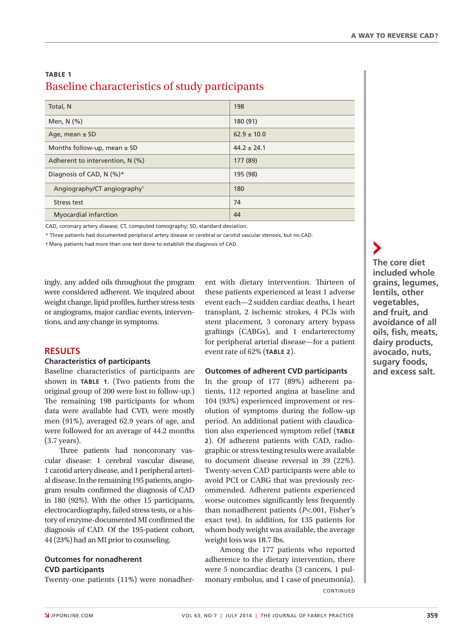## **TABLE 1** Baseline characteristics of study participants

| Total, N                                | 198             |
|-----------------------------------------|-----------------|
| Men, $N$ $(\%)$                         | 180 (91)        |
| Age, mean $\pm$ SD                      | $62.9 \pm 10.0$ |
| Months follow-up, mean $\pm$ SD         | $44.2 + 24.1$   |
| Adherent to intervention, N (%)         | 177 (89)        |
| Diagnosis of CAD, N (%)*                | 195 (98)        |
| Angiography/CT angiography <sup>+</sup> | 180             |
| Stress test                             | 74              |
| <b>Myocardial infarction</b>            | 44              |

CAD, coronary artery disease; CT, computed tomography; SD, standard deviation.

\* Three patients had documented peripheral artery disease or cerebral or carotid vascular stenosis, but no CAD.

† Many patients had more than one test done to establish the diagnosis of CAD.

ingly, any added oils throughout the program were considered adherent. We inquired about weight change, lipid profles, further stress tests or angiograms, major cardiac events, interventions, and any change in symptoms.

### **RESULTS**

### **Characteristics of participants**

Baseline characteristics of participants are shown in **TABLE 1**. (Two patients from the original group of 200 were lost to follow-up.) The remaining 198 participants for whom data were available had CVD, were mostly men (91%), averaged 62.9 years of age, and were followed for an average of 44.2 months (3.7 years).

Three patients had noncoronary vascular disease: 1 cerebral vascular disease, 1 carotid artery disease, and 1 peripheral arterial disease. In the remaining 195 patients, angiogram results confrmed the diagnosis of CAD in 180 (92%). With the other 15 participants, electrocardiography, failed stress tests, or a history of enzyme-documented MI confrmed the diagnosis of CAD. Of the 195-patient cohort, 44 (23%) had an MI prior to counseling.

### **Outcomes for nonadherent CVD participants**

Twenty-one patients (11%) were nonadher-

ent with dietary intervention. Thirteen of these patients experienced at least 1 adverse event each—2 sudden cardiac deaths, 1 heart transplant, 2 ischemic strokes, 4 PCIs with stent placement, 3 coronary artery bypass graftings (CABGs), and 1 endarterectomy for peripheral arterial disease—for a patient event rate of 62% (**TABLE 2**).

### **Outcomes of adherent CVD participants**

In the group of 177 (89%) adherent patients, 112 reported angina at baseline and 104 (93%) experienced improvement or resolution of symptoms during the follow-up period. An additional patient with claudication also experienced symptom relief (**TABLE 2**). Of adherent patients with CAD, radiographic or stress testing results were available to document disease reversal in 39 (22%). Twenty-seven CAD participants were able to avoid PCI or CABG that was previously recommended. Adherent patients experienced worse outcomes signifcantly less frequently than nonadherent patients (*P*<.001, Fisher's exact test). In addition, for 135 patients for whom body weight was available, the average weight loss was 18.7 lbs.

Among the 177 patients who reported adherence to the dietary intervention, there were 5 noncardiac deaths (3 cancers, 1 pulmonary embolus, and 1 case of pneumonia). **CONTINUED** 

**The core diet included whole grains, legumes, lentils, other vegetables, and fruit, and avoidance of all oils, fsh, meats, dairy products, avocado, nuts, sugary foods, and excess salt.**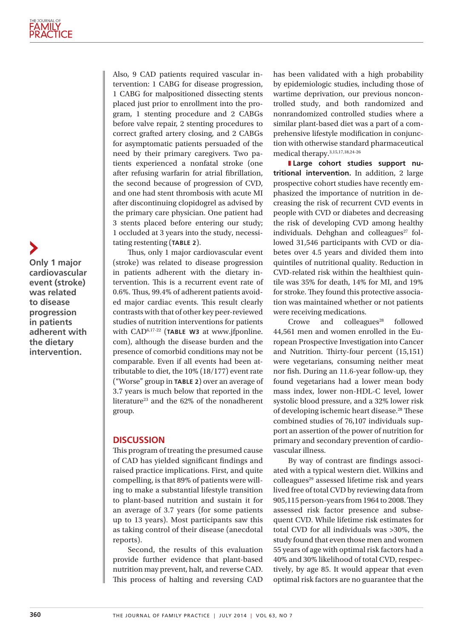**Only 1 major cardiovascular event (stroke) was related to disease progression in patients adherent with the dietary intervention.**

Also, 9 CAD patients required vascular intervention: 1 CABG for disease progression, 1 CABG for malpositioned dissecting stents placed just prior to enrollment into the program, 1 stenting procedure and 2 CABGs before valve repair, 2 stenting procedures to correct grafted artery closing, and 2 CABGs for asymptomatic patients persuaded of the need by their primary caregivers. Two patients experienced a nonfatal stroke (one after refusing warfarin for atrial fbrillation, the second because of progression of CVD, and one had stent thrombosis with acute MI after discontinuing clopidogrel as advised by the primary care physician. One patient had 3 stents placed before entering our study; 1 occluded at 3 years into the study, necessitating restenting (**TABLE 2**).

Thus, only 1 major cardiovascular event (stroke) was related to disease progression in patients adherent with the dietary intervention. This is a recurrent event rate of 0.6%. Thus, 99.4% of adherent patients avoided major cardiac events. This result clearly contrasts with that of other key peer-reviewed studies of nutrition interventions for patients with CAD<sup>6,17-22</sup> (TABLE W3 at www.jfponline. com), although the disease burden and the presence of comorbid conditions may not be comparable. Even if all events had been attributable to diet, the 10% (18/177) event rate ("Worse" group in **TABLE 2**) over an average of 3.7 years is much below that reported in the literature<sup>23</sup> and the 62% of the nonadherent group.

#### **DISCUSSION**

This program of treating the presumed cause of CAD has yielded signifcant fndings and raised practice implications. First, and quite compelling, is that 89% of patients were willing to make a substantial lifestyle transition to plant-based nutrition and sustain it for an average of 3.7 years (for some patients up to 13 years). Most participants saw this as taking control of their disease (anecdotal reports).

Second, the results of this evaluation provide further evidence that plant-based nutrition may prevent, halt, and reverse CAD. This process of halting and reversing CAD

has been validated with a high probability by epidemiologic studies, including those of wartime deprivation, our previous noncontrolled study, and both randomized and nonrandomized controlled studies where a similar plant-based diet was a part of a comprehensive lifestyle modifcation in conjunction with otherwise standard pharmaceutical medical therapy.3,15,17,18,24-26

**I** Large cohort studies support nu**tritional intervention.** In addition, 2 large prospective cohort studies have recently emphasized the importance of nutrition in decreasing the risk of recurrent CVD events in people with CVD or diabetes and decreasing the risk of developing CVD among healthy individuals. Dehghan and colleagues<sup>27</sup> followed 31,546 participants with CVD or diabetes over 4.5 years and divided them into quintiles of nutritional quality. Reduction in CVD-related risk within the healthiest quintile was 35% for death, 14% for MI, and 19% for stroke. They found this protective association was maintained whether or not patients were receiving medications.

Crowe and colleagues $^{28}$  followed 44,561 men and women enrolled in the European Prospective Investigation into Cancer and Nutrition. Thirty-four percent (15,151) were vegetarians, consuming neither meat nor fish. During an 11.6-year follow-up, they found vegetarians had a lower mean body mass index, lower non-HDL-C level, lower systolic blood pressure, and a 32% lower risk of developing ischemic heart disease.<sup>28</sup> These combined studies of 76,107 individuals support an assertion of the power of nutrition for primary and secondary prevention of cardiovascular illness.

By way of contrast are fndings associated with a typical western diet. Wilkins and colleagues<sup>29</sup> assessed lifetime risk and years lived free of total CVD by reviewing data from 905,115 person-years from 1964 to 2008. They assessed risk factor presence and subsequent CVD. While lifetime risk estimates for total CVD for all individuals was >30%, the study found that even those men and women 55 years of age with optimal risk factors had a 40% and 30% likelihood of total CVD, respectively, by age 85. It would appear that even optimal risk factors are no guarantee that the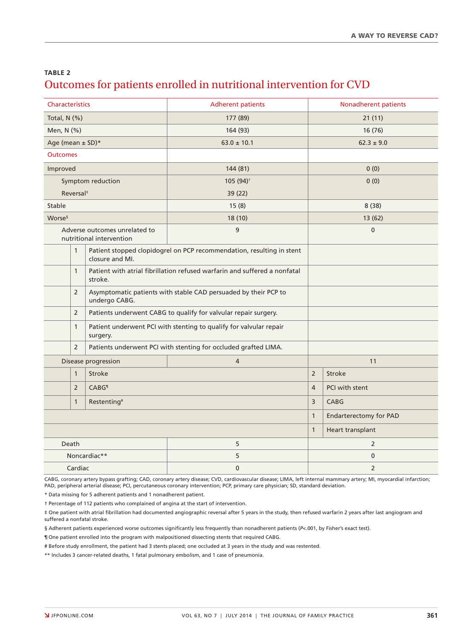## **TABLE 2** Outcomes for patients enrolled in nutritional intervention for CVD

| <b>Characteristics</b> |                                         |                                                                 | <b>Adherent patients</b>                                                  | Nonadherent patients |                               |  |  |
|------------------------|-----------------------------------------|-----------------------------------------------------------------|---------------------------------------------------------------------------|----------------------|-------------------------------|--|--|
| Total, $N$ (%)         |                                         |                                                                 | 177 (89)                                                                  |                      | 21(11)                        |  |  |
| Men, N (%)             |                                         |                                                                 | 164 (93)                                                                  | 16 (76)              |                               |  |  |
| Age (mean ± SD)*       |                                         |                                                                 | $63.0 \pm 10.1$                                                           |                      | $62.3 \pm 9.0$                |  |  |
| <b>Outcomes</b>        |                                         |                                                                 |                                                                           |                      |                               |  |  |
| Improved               |                                         |                                                                 | 144 (81)                                                                  |                      | 0(0)                          |  |  |
| Symptom reduction      |                                         |                                                                 | 105 (94) <sup>+</sup>                                                     |                      | 0(0)                          |  |  |
| Reversal <sup>#</sup>  |                                         |                                                                 | 39(22)                                                                    |                      |                               |  |  |
| Stable                 |                                         |                                                                 | 15(8)                                                                     |                      | 8(38)                         |  |  |
| Worse <sup>§</sup>     |                                         |                                                                 | 18 (10)                                                                   |                      | 13 (62)                       |  |  |
|                        |                                         | Adverse outcomes unrelated to<br>nutritional intervention       | 9                                                                         | $\mathbf 0$          |                               |  |  |
|                        | $\mathbf{1}$                            | closure and MI.                                                 | Patient stopped clopidogrel on PCP recommendation, resulting in stent     |                      |                               |  |  |
|                        | $\mathbf{1}$                            | stroke.                                                         | Patient with atrial fibrillation refused warfarin and suffered a nonfatal |                      |                               |  |  |
|                        | $\overline{2}$                          | undergo CABG.                                                   | Asymptomatic patients with stable CAD persuaded by their PCP to           |                      |                               |  |  |
|                        | $\overline{2}$                          | Patients underwent CABG to qualify for valvular repair surgery. |                                                                           |                      |                               |  |  |
|                        | $\mathbf{1}$                            | surgery.                                                        | Patient underwent PCI with stenting to qualify for valvular repair        |                      |                               |  |  |
|                        | $\overline{2}$                          |                                                                 | Patients underwent PCI with stenting for occluded grafted LIMA.           |                      |                               |  |  |
| Disease progression    |                                         |                                                                 | $\overline{4}$                                                            | 11                   |                               |  |  |
|                        | $\mathbf{1}$                            | <b>Stroke</b>                                                   |                                                                           | $\overline{2}$       | <b>Stroke</b>                 |  |  |
|                        | $\overline{2}$                          | <b>CABG</b> <sup>1</sup>                                        |                                                                           |                      | PCI with stent                |  |  |
|                        | $\mathbf{1}$<br>Restenting <sup>#</sup> |                                                                 |                                                                           | 3                    | CABG                          |  |  |
|                        |                                         |                                                                 |                                                                           | $\mathbf{1}$         | <b>Endarterectomy for PAD</b> |  |  |
|                        |                                         |                                                                 |                                                                           | $\mathbf{1}$         | Heart transplant              |  |  |
|                        | Death                                   |                                                                 | 5                                                                         |                      | $\overline{2}$                |  |  |
| Noncardiac**           |                                         |                                                                 | 5                                                                         | $\bf{0}$             |                               |  |  |
| Cardiac                |                                         |                                                                 | $\mathbf 0$                                                               |                      | $\overline{2}$                |  |  |

CABG, coronary artery bypass grafting; CAD, coronary artery disease; CVD, cardiovascular disease; LIMA, left internal mammary artery; MI, myocardial infarction; PAD, peripheral arterial disease; PCI, percutaneous coronary intervention; PCP, primary care physician; SD, standard deviation.

\* Data missing for 5 adherent patients and 1 nonadherent patient.

† Percentage of 112 patients who complained of angina at the start of intervention.

‡ One patient with atrial fbrillation had documented angiographic reversal after 5 years in the study, then refused warfarin 2 years after last angiogram and suffered a nonfatal stroke.

§ Adherent patients experienced worse outcomes significantly less frequently than nonadherent patients (*P*<.001, by Fisher's exact test).

¶ One patient enrolled into the program with malpositioned dissecting stents that required CABG.

# Before study enrollment, the patient had 3 stents placed; one occluded at 3 years in the study and was restented.

\*\* Includes 3 cancer-related deaths, 1 fatal pulmonary embolism, and 1 case of pneumonia.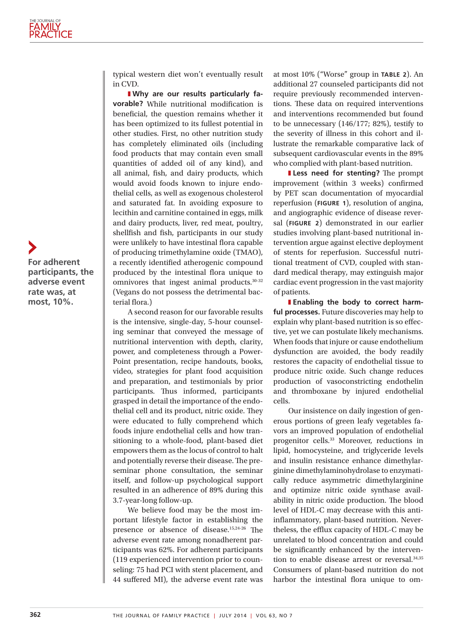typical western diet won't eventually result in CVD.

**I** Why are our results particularly fa**vorable?** While nutritional modification is beneficial, the question remains whether it has been optimized to its fullest potential in other studies. First, no other nutrition study has completely eliminated oils (including food products that may contain even small quantities of added oil of any kind), and all animal, fish, and dairy products, which would avoid foods known to injure endothelial cells, as well as exogenous cholesterol and saturated fat. In avoiding exposure to lecithin and carnitine contained in eggs, milk and dairy products, liver, red meat, poultry, shellfish and fish, participants in our study were unlikely to have intestinal flora capable of producing trimethylamine oxide (TMAO), a recently identifed atherogenic compound produced by the intestinal flora unique to omnivores that ingest animal products.30-32 (Vegans do not possess the detrimental bacterial flora.)

A second reason for our favorable results is the intensive, single-day, 5-hour counseling seminar that conveyed the message of nutritional intervention with depth, clarity, power, and completeness through a Power-Point presentation, recipe handouts, books, video, strategies for plant food acquisition and preparation, and testimonials by prior participants. Thus informed, participants grasped in detail the importance of the endothelial cell and its product, nitric oxide. They were educated to fully comprehend which foods injure endothelial cells and how transitioning to a whole-food, plant-based diet empowers them as the locus of control to halt and potentially reverse their disease. The preseminar phone consultation, the seminar itself, and follow-up psychological support resulted in an adherence of 89% during this 3.7-year-long follow-up.

We believe food may be the most important lifestyle factor in establishing the presence or absence of disease.<sup>15,24-26</sup> The adverse event rate among nonadherent participants was 62%. For adherent participants (119 experienced intervention prior to counseling: 75 had PCI with stent placement, and 44 suffered MI), the adverse event rate was

at most 10% ("Worse" group in **TABLE 2**). An additional 27 counseled participants did not require previously recommended interventions. These data on required interventions and interventions recommended but found to be unnecessary (146/177; 82%), testify to the severity of illness in this cohort and illustrate the remarkable comparative lack of subsequent cardiovascular events in the 89% who complied with plant-based nutrition.

**I Less need for stenting?** The prompt improvement (within 3 weeks) confrmed by PET scan documentation of myocardial reperfusion (**FIGURE 1**), resolution of angina, and angiographic evidence of disease reversal (**FIGURE 2**) demonstrated in our earlier studies involving plant-based nutritional intervention argue against elective deployment of stents for reperfusion. Successful nutritional treatment of CVD, coupled with standard medical therapy, may extinguish major cardiac event progression in the vast majority of patients.

**I** Enabling the body to correct harm**ful processes.** Future discoveries may help to explain why plant-based nutrition is so efective, yet we can postulate likely mechanisms. When foods that injure or cause endothelium dysfunction are avoided, the body readily restores the capacity of endothelial tissue to produce nitric oxide. Such change reduces production of vasoconstricting endothelin and thromboxane by injured endothelial cells.

Our insistence on daily ingestion of generous portions of green leafy vegetables favors an improved population of endothelial progenitor cells.33 Moreover, reductions in lipid, homocysteine, and triglyceride levels and insulin resistance enhance dimethylarginine dimethylaminohydrolase to enzymatically reduce asymmetric dimethylarginine and optimize nitric oxide synthase availability in nitric oxide production. The blood level of HDL-C may decrease with this antiinfammatory, plant-based nutrition. Nevertheless, the efflux capacity of HDL-C may be unrelated to blood concentration and could be signifcantly enhanced by the intervention to enable disease arrest or reversal.34,35 Consumers of plant-based nutrition do not harbor the intestinal flora unique to om-

**For adherent participants, the adverse event rate was, at most, 10%.**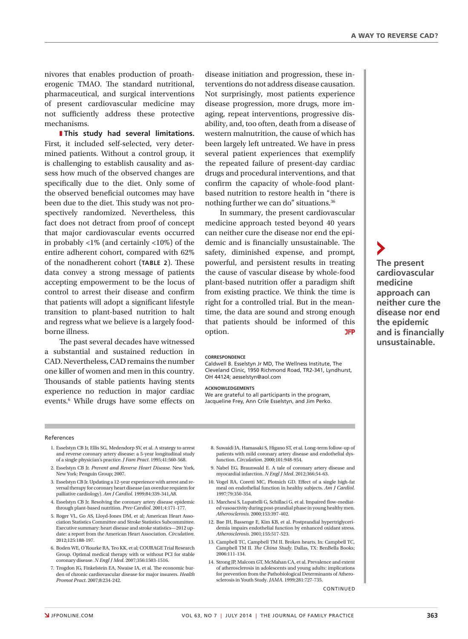nivores that enables production of proatherogenic TMAO. The standard nutritional, pharmaceutical, and surgical interventions of present cardiovascular medicine may not sufficiently address these protective mechanisms.

**I**This study had several limitations. First, it included self-selected, very determined patients. Without a control group, it is challenging to establish causality and assess how much of the observed changes are specifcally due to the diet. Only some of the observed beneficial outcomes may have been due to the diet. This study was not prospectively randomized. Nevertheless, this fact does not detract from proof of concept that major cardiovascular events occurred in probably  $\langle 1\%$  (and certainly  $\langle 10\% \rangle$ ) of the entire adherent cohort, compared with 62% of the nonadherent cohort (TABLE 2). These data convey a strong message of patients accepting empowerment to be the locus of control to arrest their disease and confrm that patients will adopt a signifcant lifestyle transition to plant-based nutrition to halt and regress what we believe is a largely foodborne illness.

The past several decades have witnessed a substantial and sustained reduction in CAD. Nevertheless, CAD remains the number one killer of women and men in this country. Thousands of stable patients having stents experience no reduction in major cardiac events.<sup>6</sup> While drugs have some effects on

disease initiation and progression, these interventions do not address disease causation. Not surprisingly, most patients experience disease progression, more drugs, more imaging, repeat interventions, progressive disability, and, too often, death from a disease of western malnutrition, the cause of which has been largely left untreated. We have in press several patient experiences that exemplify the repeated failure of present-day cardiac drugs and procedural interventions, and that confrm the capacity of whole-food plantbased nutrition to restore health in "there is nothing further we can do" situations.36

In summary, the present cardiovascular medicine approach tested beyond 40 years can neither cure the disease nor end the epidemic and is financially unsustainable. The safety, diminished expense, and prompt, powerful, and persistent results in treating the cause of vascular disease by whole-food plant-based nutrition ofer a paradigm shift from existing practice. We think the time is right for a controlled trial. But in the meantime, the data are sound and strong enough that patients should be informed of this option.

#### **CORRESPONDENCE**

Caldwell B. Esselstyn Jr MD, The Wellness Institute, The Cleveland Clinic, 1950 Richmond Road, TR2-341, Lyndhurst, OH 44124; aesselstyn@aol.com

#### **ACKNOWLEDGEMENTS**

We are grateful to all participants in the program, Jacqueline Frey, Ann Crile Esselstyn, and Jim Perko.

#### References

- 1. Esselstyn CB Jr, Ellis SG, Medendorp SV, et al. A strategy to arrest and reverse coronary artery disease: a 5-year longitudinal study of a single physician's practice. *J Fam Pract*. 1995;41:560-568.
- 2. Esselstyn CB Jr. *Prevent and Reverse Heart Disease*. New York, New York: Penguin Group; 2007.
- 3. Esselstyn CB Jr. Updating a 12-year experience with arrest and reversal therapy for coronary heart disease (an overdue requiem for palliative cardiology). *Am J Cardiol*. 1999;84:339-341,A8.
- 4. Esselstyn CB Jr. Resolving the coronary artery disease epidemic through plant-based nutrition. *Prev Cardiol*. 2001;4:171-177.
- 5. Roger VL, Go AS, Lloyd-Jones DM, et al; American Heart Association Statistics Committee and Stroke Statistics Subcommittee. Executive summary: heart disease and stroke statistics—2012 update: a report from the American Heart Association. *Circulation*. 2012;125:188-197.
- 6. Boden WE, O'Rourke RA, Teo KK, et al; COURAGE Trial Research Group. Optimal medical therapy with or without PCI for stable coronary disease. *N Engl J Med*. 2007;356:1503-1516.
- 7. Trogdon JG, Finkelstein EA, Nwaise IA, et al. The economic burden of chronic cardiovascular disease for major insurers. *Health Promot Pract*. 2007;8:234-242.
- 8. Suwaidi JA, Hamasaki S, Higano ST, et al. Long-term follow-up of patients with mild coronary artery disease and endothelial dysfunction. *Circulation*. 2000;101:948-954.
- 9. Nabel EG, Braunwald E. A tale of coronary artery disease and myocardial infarction. *N Engl J Med*. 2012;366:54-63.
- 10. Vogel RA, Coretti MC, Plotnich GD. Efect of a single high-fat meal on endothelial function in healthy subjects. *Am J Cardiol*. 1997;79:350-354.
- 11. Marchesi S, Lupattelli G, Schillaci G, et al. Impaired flow-mediated vasoactivity during post-prandial phase in young healthy men. *Atherosclerosis*. 2000;153:397-402.
- 12. Bae JH, Bassenge E, Kim KB, et al. Postprandial hypertriglyceridemia impairs endothelial function by enhanced oxidant stress. *Atherosclerosis*. 2001;155:517-523.
- 13. Campbell TC, Campbell TM II. Broken hearts. In: Campbell TC, Campbell TM II. *Te China Study*. Dallas, TX: BenBella Books; 2006:111-134.
- 14. Strong JP, Malcom GT, McMahan CA, et al. Prevalence and extent of atherosclerosis in adolescents and young adults: implications for prevention from the Pathobiological Determinants of Atherosclerosis in Youth Study. *JAMA*. 1999;281:727-735.

**CONTINUED** 

**The present cardiovascular medicine approach can neither cure the disease nor end the epidemic and is fnancially unsustainable.**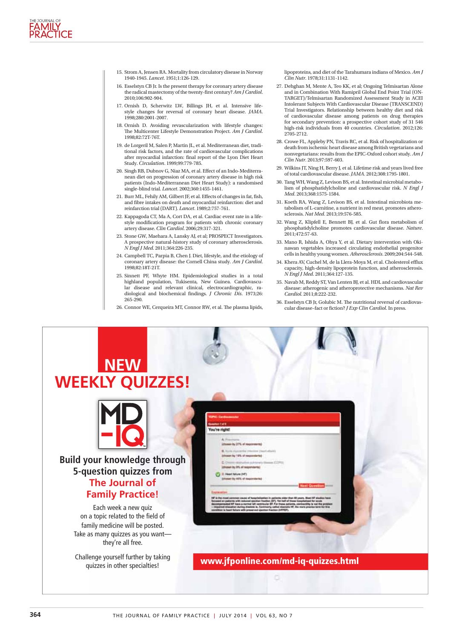- 15. Strom A, Jensen RA. Mortality from circulatory disease in Norway 1940-1945. *Lancet*. 1951;1:126-129.
- 16. Esselstyn CB Jr. Is the present therapy for coronary artery disease the radical mastectomy of the twenty-frst century? *Am J Cardiol*. 2010;106:902-904.
- 17. Ornish D, Scherwitz LW, Billings JH, et al. Intensive lifestyle changes for reversal of coronary heart disease. *JAMA*. 1998;280:2001-2007.
- 18. Ornish D. Avoiding revascularization with lifestyle changes: The Multicenter Lifestyle Demonstration Project. Am J Cardiol. 1998;82:72T-76T.
- 19. de Lorgeril M, Salen P, Martin JL, et al. Mediterranean diet, traditional risk factors, and the rate of cardiovascular complications after myocardial infarction: fnal report of the Lyon Diet Heart Study. *Circulation*. 1999;99:779-785.
- 20. Singh RB, Dubnov G, Niaz MA, et al. Efect of an Indo-Mediterranean diet on progression of coronary artery disease in high risk patients (Indo-Mediterranean Diet Heart Study): a randomised single-blind trial. *Lancet*. 2002;360:1455-1461.
- 21. Burr ML, Fehily AM, Gilbert JF, et al. Efects of changes in fat, fsh, and fbre intakes on death and myocardial reinfarction: diet and reinfarction trial (DART). *Lancet*. 1989;2:757-761.
- 22. Kappagoda CT, Ma A, Cort DA, et al. Cardiac event rate in a lifestyle modifcation program for patients with chronic coronary artery disease. *Clin Cardiol*. 2006;29:317-321.
- 23. Stone GW, Maehara A, Lansky AJ, et al; PROSPECT Investigators. A prospective natural-history study of coronary atherosclerosis. *N Engl J Med*. 2011;364:226-235.
- 24. Campbell TC, Parpia B, Chen J. Diet, lifestyle, and the etiology of coronary artery disease: the Cornell China study. *Am J Cardiol*. 1998;82:18T-21T.
- 25. Sinnett PF, Whyte HM. Epidemiological studies in a total highland population, Tukisenta, New Guinea. Cardiovascu-lar disease and relevant clinical, electrocardiographic, radiological and biochemical fndings. *J Chronic Dis*. 1973;26: 265-290.
- 26. Connor WE, Cerqueira MT, Connor RW, et al. The plasma lipids,

lipoproteins, and diet of the Tarahumara indians of Mexico. *Am J Clin Nutr*. 1978;31:1131-1142.

- 27. Dehghan M, Mente A, Teo KK, et al; Ongoing Telmisartan Alone and in Combination With Ramipril Global End Point Trial (ON-TARGET)/Telmisartan Randomized Assessment Study in ACEI Intolerant Subjects With Cardiovascular Disease (TRANSCEND) Trial Investigators. Relationship between healthy diet and risk of cardiovascular disease among patients on drug therapies for secondary prevention: a prospective cohort study of 31 546 high-risk individuals from 40 countries. *Circulation*. 2012;126: 2705-2712.
- 28. Crowe FL, Appleby PN, Travis RC, et al. Risk of hospitalization or death from ischemic heart disease among British vegetarians and nonvegetarians: results from the EPIC-Oxford cohort study. *Am J Clin Nutr*. 2013;97:597-603.
- 29. Wilkins JT, Ning H, Berry J, et al. Lifetime risk and years lived free of total cardiovascular disease. *JAMA*. 2012;308:1795-1801.
- 30. Tang WH, Wang Z, Levison BS, et al. Intestinal microbial metabolism of phosphatidylcholine and cardiovascular risk. *N Engl J Med*. 2013;368:1575-1584.
- 31. Koeth RA, Wang Z, Levison BS, et al. Intestinal microbiota metabolism of L-carnitine, a nutrient in red meat, promotes atherosclerosis. *Nat Med*. 2013;19:576-585.
- 32. Wang Z, Klipfell E, Bennett BJ, et al. Gut flora metabolism of phosphatidylcholine promotes cardiovascular disease. *Nature*. 2011;472:57-63.
- 33. Mano R, Ishida A, Ohya Y, et al. Dietary intervention with Okinawan vegetables increased circulating endothelial progenitor cells in healthy young women. *Atherosclerosis*. 2009;204:544-548.
- 34. Khera AV, Cuchel M, de la Llera-Moya M, et al. Cholesterol efflux capacity, high-density lipoprotein function, and atherosclerosis. *N Engl J Med*. 2011;364:127-135.
- 35. Navab M, Reddy ST, Van Lenten BJ, et al. HDL and cardiovascular disease: atherogenic and atheroprotective mechanisms. *Nat Rev Cardiol*. 2011;8:222-232.
- 36. Esselstyn CB Jr, Golubic M. The nutritional reversal of cardiovascular disease-fact or fiction? *J Exp Clin Cardiol*. In press.

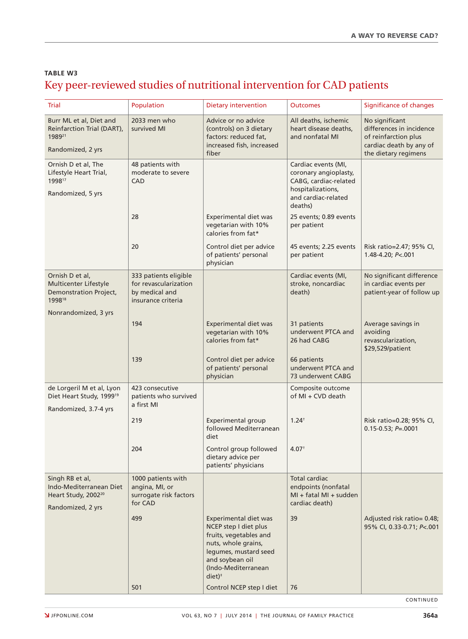## **TABLE W3** Key peer-reviewed studies of nutritional intervention for CAD patients

| Trial                                                                                              | Population                                                                             | Dietary intervention                                                                                                                                                                      | <b>Outcomes</b>                                                                                                              | Significance of changes                                                                                               |
|----------------------------------------------------------------------------------------------------|----------------------------------------------------------------------------------------|-------------------------------------------------------------------------------------------------------------------------------------------------------------------------------------------|------------------------------------------------------------------------------------------------------------------------------|-----------------------------------------------------------------------------------------------------------------------|
| Burr ML et al, Diet and<br>Reinfarction Trial (DART),<br>198921<br>Randomized, 2 yrs               | 2033 men who<br>survived MI                                                            | Advice or no advice<br>(controls) on 3 dietary<br>factors: reduced fat,<br>increased fish, increased<br>fiber                                                                             | All deaths, ischemic<br>heart disease deaths,<br>and nonfatal MI                                                             | No significant<br>differences in incidence<br>of reinfarction plus<br>cardiac death by any of<br>the dietary regimens |
| Ornish D et al, The<br>Lifestyle Heart Trial,<br>199817<br>Randomized, 5 yrs                       | 48 patients with<br>moderate to severe<br>CAD                                          |                                                                                                                                                                                           | Cardiac events (MI,<br>coronary angioplasty,<br>CABG, cardiac-related<br>hospitalizations,<br>and cardiac-related<br>deaths) |                                                                                                                       |
|                                                                                                    | 28                                                                                     | Experimental diet was<br>vegetarian with 10%<br>calories from fat*                                                                                                                        | 25 events; 0.89 events<br>per patient                                                                                        |                                                                                                                       |
|                                                                                                    | 20                                                                                     | Control diet per advice<br>of patients' personal<br>physician                                                                                                                             | 45 events; 2.25 events<br>per patient                                                                                        | Risk ratio=2.47; 95% CI,<br>$1.48 - 4.20; P < 001$                                                                    |
| Ornish D et al,<br>Multicenter Lifestyle<br><b>Demonstration Project,</b><br>199818                | 333 patients eligible<br>for revascularization<br>by medical and<br>insurance criteria |                                                                                                                                                                                           | Cardiac events (MI,<br>stroke, noncardiac<br>death)                                                                          | No significant difference<br>in cardiac events per<br>patient-year of follow up                                       |
| Nonrandomized, 3 yrs                                                                               |                                                                                        |                                                                                                                                                                                           |                                                                                                                              |                                                                                                                       |
|                                                                                                    | 194                                                                                    | <b>Experimental diet was</b><br>vegetarian with 10%<br>calories from fat*                                                                                                                 | 31 patients<br>underwent PTCA and<br>26 had CABG                                                                             | Average savings in<br>avoiding<br>revascularization,<br>\$29,529/patient                                              |
|                                                                                                    | 139                                                                                    | Control diet per advice<br>of patients' personal<br>physician                                                                                                                             | 66 patients<br>underwent PTCA and<br>73 underwent CABG                                                                       |                                                                                                                       |
| de Lorgeril M et al, Lyon<br>Diet Heart Study, 1999 <sup>19</sup><br>Randomized, 3.7-4 yrs         | 423 consecutive<br>patients who survived<br>a first MI                                 |                                                                                                                                                                                           | Composite outcome<br>of MI + CVD death                                                                                       |                                                                                                                       |
|                                                                                                    | 219                                                                                    | Experimental group<br>followed Mediterranean<br>diet                                                                                                                                      | $1.24^{+}$                                                                                                                   | Risk ratio=0.28; 95% CI,<br>$0.15 - 0.53; P = 0.001$                                                                  |
|                                                                                                    | 204                                                                                    | Control group followed<br>dietary advice per<br>patients' physicians                                                                                                                      | 4.07 <sup>†</sup>                                                                                                            |                                                                                                                       |
| Singh RB et al,<br>Indo-Mediterranean Diet<br>Heart Study, 2002 <sup>20</sup><br>Randomized, 2 yrs | 1000 patients with<br>angina, MI, or<br>surrogate risk factors<br>for CAD              |                                                                                                                                                                                           | Total cardiac<br>endpoints (nonfatal<br>MI + fatal MI + sudden<br>cardiac death)                                             |                                                                                                                       |
|                                                                                                    | 499                                                                                    | Experimental diet was<br>NCEP step I diet plus<br>fruits, vegetables and<br>nuts, whole grains,<br>legumes, mustard seed<br>and soybean oil<br>(Indo-Mediterranean<br>$diet$ <sup>+</sup> | 39                                                                                                                           | Adjusted risk ratio= 0.48;<br>95% CI, 0.33-0.71; P<.001                                                               |
|                                                                                                    | 501                                                                                    | Control NCEP step I diet                                                                                                                                                                  | 76                                                                                                                           |                                                                                                                       |

CONTINUED